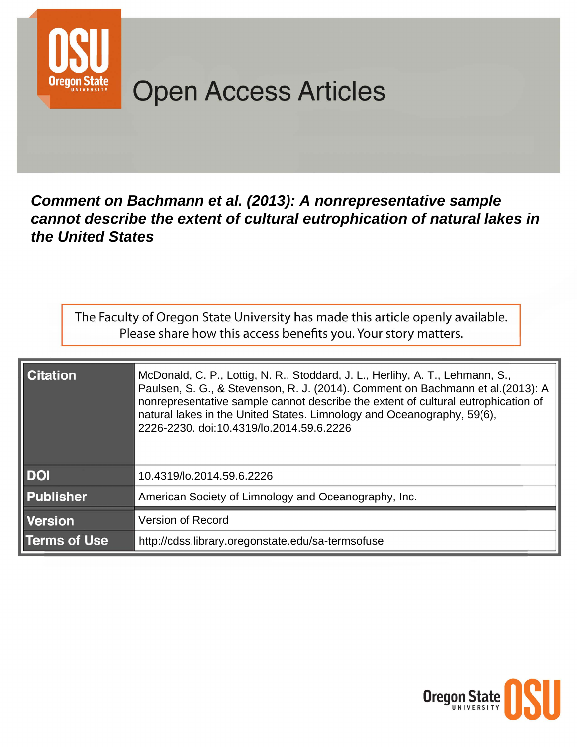

# **Open Access Articles**

## Comment on Bachmann et al. (2013): A nonrepresentative sample cannot describe the extent of cultural eutrophication of natural lakes in the United States

| The Faculty of Oregon State University has made this article openly available. |
|--------------------------------------------------------------------------------|
| Please share how this access benefits you. Your story matters.                 |

| <b>Citation</b>  | McDonald, C. P., Lottig, N. R., Stoddard, J. L., Herlihy, A. T., Lehmann, S.,<br>Paulsen, S. G., & Stevenson, R. J. (2014). Comment on Bachmann et al. (2013): A<br>nonrepresentative sample cannot describe the extent of cultural eutrophication of<br>natural lakes in the United States. Limnology and Oceanography, 59(6),<br>2226-2230. doi:10.4319/lo.2014.59.6.2226 |
|------------------|-----------------------------------------------------------------------------------------------------------------------------------------------------------------------------------------------------------------------------------------------------------------------------------------------------------------------------------------------------------------------------|
| <b>DOI</b>       | 10.4319/lo.2014.59.6.2226                                                                                                                                                                                                                                                                                                                                                   |
| <b>Publisher</b> | American Society of Limnology and Oceanography, Inc.                                                                                                                                                                                                                                                                                                                        |
| <b>Version</b>   | <b>Version of Record</b>                                                                                                                                                                                                                                                                                                                                                    |
| Terms of Use     | http://cdss.library.oregonstate.edu/sa-termsofuse                                                                                                                                                                                                                                                                                                                           |

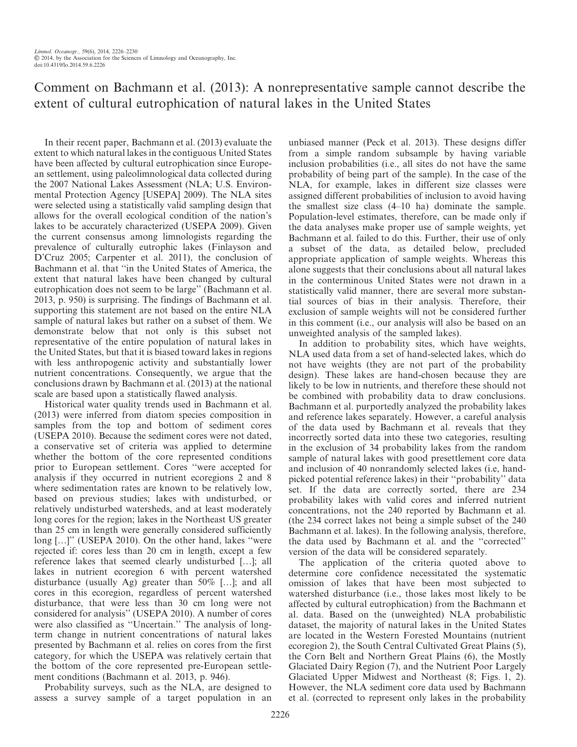## Comment on Bachmann et al. (2013): A nonrepresentative sample cannot describe the extent of cultural eutrophication of natural lakes in the United States

In their recent paper, Bachmann et al. (2013) evaluate the extent to which natural lakes in the contiguous United States have been affected by cultural eutrophication since European settlement, using paleolimnological data collected during the 2007 National Lakes Assessment (NLA; U.S. Environmental Protection Agency [USEPA] 2009). The NLA sites were selected using a statistically valid sampling design that allows for the overall ecological condition of the nation's lakes to be accurately characterized (USEPA 2009). Given the current consensus among limnologists regarding the prevalence of culturally eutrophic lakes (Finlayson and D'Cruz 2005; Carpenter et al. 2011), the conclusion of Bachmann et al. that ''in the United States of America, the extent that natural lakes have been changed by cultural eutrophication does not seem to be large'' (Bachmann et al. 2013, p. 950) is surprising. The findings of Bachmann et al. supporting this statement are not based on the entire NLA sample of natural lakes but rather on a subset of them. We demonstrate below that not only is this subset not representative of the entire population of natural lakes in the United States, but that it is biased toward lakes in regions with less anthropogenic activity and substantially lower nutrient concentrations. Consequently, we argue that the conclusions drawn by Bachmann et al. (2013) at the national scale are based upon a statistically flawed analysis.

Historical water quality trends used in Bachmann et al. (2013) were inferred from diatom species composition in samples from the top and bottom of sediment cores (USEPA 2010). Because the sediment cores were not dated, a conservative set of criteria was applied to determine whether the bottom of the core represented conditions prior to European settlement. Cores ''were accepted for analysis if they occurred in nutrient ecoregions 2 and 8 where sedimentation rates are known to be relatively low, based on previous studies; lakes with undisturbed, or relatively undisturbed watersheds, and at least moderately long cores for the region; lakes in the Northeast US greater than 25 cm in length were generally considered sufficiently long […]'' (USEPA 2010). On the other hand, lakes ''were rejected if: cores less than 20 cm in length, except a few reference lakes that seemed clearly undisturbed […]; all lakes in nutrient ecoregion 6 with percent watershed disturbance (usually Ag) greater than 50% […]; and all cores in this ecoregion, regardless of percent watershed disturbance, that were less than 30 cm long were not considered for analysis'' (USEPA 2010). A number of cores were also classified as ''Uncertain.'' The analysis of longterm change in nutrient concentrations of natural lakes presented by Bachmann et al. relies on cores from the first category, for which the USEPA was relatively certain that the bottom of the core represented pre-European settlement conditions (Bachmann et al. 2013, p. 946).

Probability surveys, such as the NLA, are designed to assess a survey sample of a target population in an

unbiased manner (Peck et al. 2013). These designs differ from a simple random subsample by having variable inclusion probabilities (i.e., all sites do not have the same probability of being part of the sample). In the case of the NLA, for example, lakes in different size classes were assigned different probabilities of inclusion to avoid having the smallest size class (4–10 ha) dominate the sample. Population-level estimates, therefore, can be made only if the data analyses make proper use of sample weights, yet Bachmann et al. failed to do this. Further, their use of only a subset of the data, as detailed below, precluded appropriate application of sample weights. Whereas this alone suggests that their conclusions about all natural lakes in the conterminous United States were not drawn in a statistically valid manner, there are several more substantial sources of bias in their analysis. Therefore, their exclusion of sample weights will not be considered further in this comment (i.e., our analysis will also be based on an unweighted analysis of the sampled lakes).

In addition to probability sites, which have weights, NLA used data from a set of hand-selected lakes, which do not have weights (they are not part of the probability design). These lakes are hand-chosen because they are likely to be low in nutrients, and therefore these should not be combined with probability data to draw conclusions. Bachmann et al. purportedly analyzed the probability lakes and reference lakes separately. However, a careful analysis of the data used by Bachmann et al. reveals that they incorrectly sorted data into these two categories, resulting in the exclusion of 34 probability lakes from the random sample of natural lakes with good presettlement core data and inclusion of 40 nonrandomly selected lakes (i.e, handpicked potential reference lakes) in their ''probability'' data set. If the data are correctly sorted, there are 234 probability lakes with valid cores and inferred nutrient concentrations, not the 240 reported by Bachmann et al. (the 234 correct lakes not being a simple subset of the 240 Bachmann et al. lakes). In the following analysis, therefore, the data used by Bachmann et al. and the ''corrected'' version of the data will be considered separately.

The application of the criteria quoted above to determine core confidence necessitated the systematic omission of lakes that have been most subjected to watershed disturbance (i.e., those lakes most likely to be affected by cultural eutrophication) from the Bachmann et al. data. Based on the (unweighted) NLA probabilistic dataset, the majority of natural lakes in the United States are located in the Western Forested Mountains (nutrient ecoregion 2), the South Central Cultivated Great Plains (5), the Corn Belt and Northern Great Plains (6), the Mostly Glaciated Dairy Region (7), and the Nutrient Poor Largely Glaciated Upper Midwest and Northeast (8; Figs. 1, 2). However, the NLA sediment core data used by Bachmann et al. (corrected to represent only lakes in the probability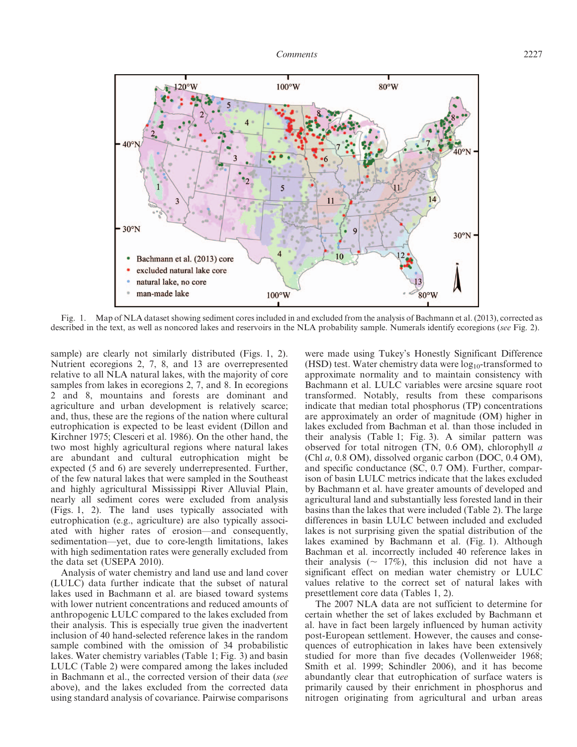

Fig. 1. Map of NLA dataset showing sediment cores included in and excluded from the analysis of Bachmann et al. (2013), corrected as described in the text, as well as noncored lakes and reservoirs in the NLA probability sample. Numerals identify ecoregions (see Fig. 2).

sample) are clearly not similarly distributed (Figs. 1, 2). Nutrient ecoregions 2, 7, 8, and 13 are overrepresented relative to all NLA natural lakes, with the majority of core samples from lakes in ecoregions 2, 7, and 8. In ecoregions 2 and 8, mountains and forests are dominant and agriculture and urban development is relatively scarce; and, thus, these are the regions of the nation where cultural eutrophication is expected to be least evident (Dillon and Kirchner 1975; Clesceri et al. 1986). On the other hand, the two most highly agricultural regions where natural lakes are abundant and cultural eutrophication might be expected (5 and 6) are severely underrepresented. Further, of the few natural lakes that were sampled in the Southeast and highly agricultural Mississippi River Alluvial Plain, nearly all sediment cores were excluded from analysis (Figs. 1, 2). The land uses typically associated with eutrophication (e.g., agriculture) are also typically associated with higher rates of erosion—and consequently, sedimentation—yet, due to core-length limitations, lakes with high sedimentation rates were generally excluded from the data set (USEPA 2010).

Analysis of water chemistry and land use and land cover (LULC) data further indicate that the subset of natural lakes used in Bachmann et al. are biased toward systems with lower nutrient concentrations and reduced amounts of anthropogenic LULC compared to the lakes excluded from their analysis. This is especially true given the inadvertent inclusion of 40 hand-selected reference lakes in the random sample combined with the omission of 34 probabilistic lakes. Water chemistry variables (Table 1; Fig. 3) and basin LULC (Table 2) were compared among the lakes included in Bachmann et al., the corrected version of their data (see above), and the lakes excluded from the corrected data using standard analysis of covariance. Pairwise comparisons

were made using Tukey's Honestly Significant Difference (HSD) test. Water chemistry data were  $log_{10}$ -transformed to approximate normality and to maintain consistency with Bachmann et al. LULC variables were arcsine square root transformed. Notably, results from these comparisons indicate that median total phosphorus (TP) concentrations are approximately an order of magnitude (OM) higher in lakes excluded from Bachman et al. than those included in their analysis (Table 1; Fig. 3). A similar pattern was observed for total nitrogen (TN, 0.6 OM), chlorophyll a (Chl a, 0.8 OM), dissolved organic carbon (DOC, 0.4 OM), and specific conductance (SC, 0.7 OM). Further, comparison of basin LULC metrics indicate that the lakes excluded by Bachmann et al. have greater amounts of developed and agricultural land and substantially less forested land in their basins than the lakes that were included (Table 2). The large differences in basin LULC between included and excluded lakes is not surprising given the spatial distribution of the lakes examined by Bachmann et al. (Fig. 1). Although Bachman et al. incorrectly included 40 reference lakes in their analysis ( $\sim$  17%), this inclusion did not have a significant effect on median water chemistry or LULC values relative to the correct set of natural lakes with presettlement core data (Tables 1, 2).

The 2007 NLA data are not sufficient to determine for certain whether the set of lakes excluded by Bachmann et al. have in fact been largely influenced by human activity post-European settlement. However, the causes and consequences of eutrophication in lakes have been extensively studied for more than five decades (Vollenweider 1968; Smith et al. 1999; Schindler 2006), and it has become abundantly clear that eutrophication of surface waters is primarily caused by their enrichment in phosphorus and nitrogen originating from agricultural and urban areas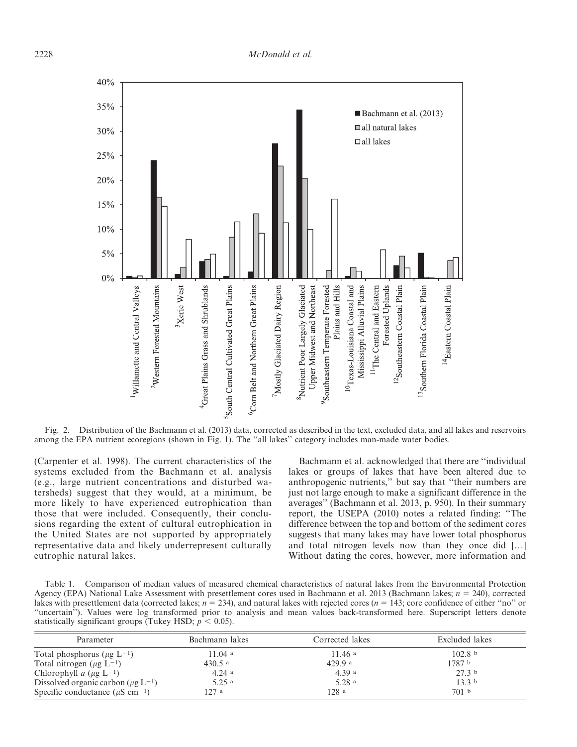

Fig. 2. Distribution of the Bachmann et al. (2013) data, corrected as described in the text, excluded data, and all lakes and reservoirs among the EPA nutrient ecoregions (shown in Fig. 1). The ''all lakes'' category includes man-made water bodies.

(Carpenter et al. 1998). The current characteristics of the systems excluded from the Bachmann et al. analysis (e.g., large nutrient concentrations and disturbed watersheds) suggest that they would, at a minimum, be more likely to have experienced eutrophication than those that were included. Consequently, their conclusions regarding the extent of cultural eutrophication in the United States are not supported by appropriately representative data and likely underrepresent culturally eutrophic natural lakes.

Bachmann et al. acknowledged that there are ''individual lakes or groups of lakes that have been altered due to anthropogenic nutrients,'' but say that ''their numbers are just not large enough to make a significant difference in the averages'' (Bachmann et al. 2013, p. 950). In their summary report, the USEPA (2010) notes a related finding: ''The difference between the top and bottom of the sediment cores suggests that many lakes may have lower total phosphorus and total nitrogen levels now than they once did […] Without dating the cores, however, more information and

Table 1. Comparison of median values of measured chemical characteristics of natural lakes from the Environmental Protection Agency (EPA) National Lake Assessment with presettlement cores used in Bachmann et al. 2013 (Bachmann lakes;  $n = 240$ ), corrected lakes with presettlement data (corrected lakes;  $n = 234$ ), and natural lakes with rejected cores ( $n = 143$ ; core confidence of either "no" or ''uncertain''). Values were log transformed prior to analysis and mean values back-transformed here. Superscript letters denote statistically significant groups (Tukey HSD;  $p < 0.05$ ).

| Parameter                                            | Bachmann lakes | Corrected lakes | Excluded lakes     |
|------------------------------------------------------|----------------|-----------------|--------------------|
| Total phosphorus ( $\mu$ g L <sup>-1</sup> )         | 11.04 $a$      | 11.46 $a$       | 102.8 <sup>b</sup> |
| Total nitrogen ( $\mu$ g L <sup>-1</sup> )           | 430.5 a        | 429.9a          | 1787 <sup>b</sup>  |
| Chlorophyll a ( $\mu$ g L <sup>-1</sup> )            | 4.24a          | 4.39a           | 27.3 <sup>b</sup>  |
| Dissolved organic carbon ( $\mu$ g L <sup>-1</sup> ) | 5.25a          | 5.28a           | 13.3 <sup>b</sup>  |
| Specific conductance ( $\mu$ S cm <sup>-1</sup> )    | 127 a          | 128a            | 701 <sup>b</sup>   |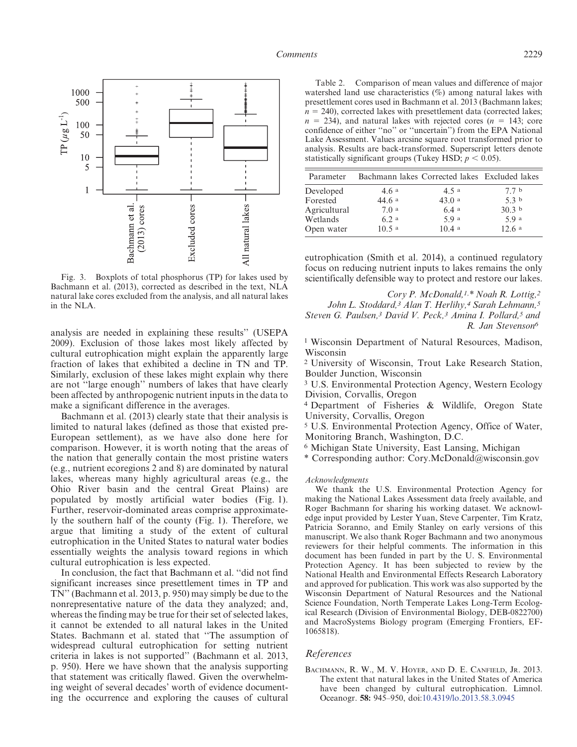

Fig. 3. Boxplots of total phosphorus (TP) for lakes used by Bachmann et al. (2013), corrected as described in the text, NLA natural lake cores excluded from the analysis, and all natural lakes in the NLA.

analysis are needed in explaining these results'' (USEPA 2009). Exclusion of those lakes most likely affected by cultural eutrophication might explain the apparently large fraction of lakes that exhibited a decline in TN and TP. Similarly, exclusion of these lakes might explain why there are not ''large enough'' numbers of lakes that have clearly been affected by anthropogenic nutrient inputs in the data to make a significant difference in the averages.

Bachmann et al. (2013) clearly state that their analysis is limited to natural lakes (defined as those that existed pre-European settlement), as we have also done here for comparison. However, it is worth noting that the areas of the nation that generally contain the most pristine waters (e.g., nutrient ecoregions 2 and 8) are dominated by natural lakes, whereas many highly agricultural areas (e.g., the Ohio River basin and the central Great Plains) are populated by mostly artificial water bodies (Fig. 1). Further, reservoir-dominated areas comprise approximately the southern half of the county (Fig. 1). Therefore, we argue that limiting a study of the extent of cultural eutrophication in the United States to natural water bodies essentially weights the analysis toward regions in which cultural eutrophication is less expected.

In conclusion, the fact that Bachmann et al. ''did not find significant increases since presettlement times in TP and TN'' (Bachmann et al. 2013, p. 950) may simply be due to the nonrepresentative nature of the data they analyzed; and, whereas the finding may be true for their set of selected lakes, it cannot be extended to all natural lakes in the United States. Bachmann et al. stated that ''The assumption of widespread cultural eutrophication for setting nutrient criteria in lakes is not supported'' (Bachmann et al. 2013, p. 950). Here we have shown that the analysis supporting that statement was critically flawed. Given the overwhelming weight of several decades' worth of evidence documenting the occurrence and exploring the causes of cultural

Table 2. Comparison of mean values and difference of major watershed land use characteristics (%) among natural lakes with presettlement cores used in Bachmann et al. 2013 (Bachmann lakes;  $n = 240$ ), corrected lakes with presettlement data (corrected lakes;  $n = 234$ ), and natural lakes with rejected cores ( $n = 143$ ; core confidence of either ''no'' or ''uncertain'') from the EPA National Lake Assessment. Values arcsine square root transformed prior to analysis. Results are back-transformed. Superscript letters denote statistically significant groups (Tukey HSD;  $p < 0.05$ ).

| Parameter    |                  | Bachmann lakes Corrected lakes Excluded lakes |                   |
|--------------|------------------|-----------------------------------------------|-------------------|
| Developed    | 4.6 <sup>a</sup> | 4.5a                                          | 7.7 <sup>b</sup>  |
| Forested     | 44 6 a           | 43.0a                                         | 5.3 <sub>b</sub>  |
| Agricultural | 7.0a             | 6.4 a                                         | 30.3 <sup>b</sup> |
| Wetlands     | 6.2 a            | 5.9 a                                         | 5.9 a             |
| Open water   | 10.5a            | 10.4a                                         | 12.6a             |

eutrophication (Smith et al. 2014), a continued regulatory focus on reducing nutrient inputs to lakes remains the only scientifically defensible way to protect and restore our lakes.

Cory P. McDonald,<sup>1,\*</sup> Noah R. Lottig,<sup>2</sup> John L. Stoddard,<sup>3</sup> Alan T. Herlihy,<sup>4</sup> Sarah Lehmann,<sup>5</sup> Steven G. Paulsen,<sup>3</sup> David V. Peck,<sup>3</sup> Amina I. Pollard,<sup>5</sup> and R. Jan Stevenson6

1 Wisconsin Department of Natural Resources, Madison, Wisconsin

2 University of Wisconsin, Trout Lake Research Station, Boulder Junction, Wisconsin

3 U.S. Environmental Protection Agency, Western Ecology Division, Corvallis, Oregon

4 Department of Fisheries & Wildlife, Oregon State University, Corvallis, Oregon

5 U.S. Environmental Protection Agency, Office of Water, Monitoring Branch, Washington, D.C.

6 Michigan State University, East Lansing, Michigan

\* Corresponding author: Cory.McDonald@wisconsin.gov

#### Acknowledgments

We thank the U.S. Environmental Protection Agency for making the National Lakes Assessment data freely available, and Roger Bachmann for sharing his working dataset. We acknowledge input provided by Lester Yuan, Steve Carpenter, Tim Kratz, Patricia Soranno, and Emily Stanley on early versions of this manuscript. We also thank Roger Bachmann and two anonymous reviewers for their helpful comments. The information in this document has been funded in part by the U. S. Environmental Protection Agency. It has been subjected to review by the National Health and Environmental Effects Research Laboratory and approved for publication. This work was also supported by the Wisconsin Department of Natural Resources and the National Science Foundation, North Temperate Lakes Long-Term Ecological Research (Division of Environmental Biology, DEB-0822700) and MacroSystems Biology program (Emerging Frontiers, EF-1065818).

### References

BACHMANN, R. W., M. V. HOYER, AND D. E. CANFIELD, JR. 2013. The extent that natural lakes in the United States of America have been changed by cultural eutrophication. Limnol. Oceanogr. 58: 945–950[, doi:10.4319/lo.2013.58.3.0945](http://dx.doi.org/10.4319%2Flo.2013.58.3.0945)